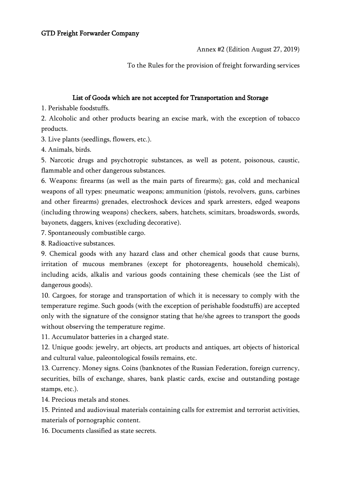Annex #2 (Edition August 27, 2019)

To the Rules for the provision of freight forwarding services

## List of Goods which are not accepted for Transportation and Storage

1. Perishable foodstuffs.

2. Alcoholic and other products bearing an excise mark, with the exception of tobacco products.

3. Live plants (seedlings, flowers, etc.).

4. Animals, birds.

5. Narcotic drugs and psychotropic substances, as well as potent, poisonous, caustic, flammable and other dangerous substances.

6. Weapons: firearms (as well as the main parts of firearms); gas, cold and mechanical weapons of all types: pneumatic weapons; ammunition (pistols, revolvers, guns, carbines and other firearms) grenades, electroshock devices and spark arresters, edged weapons (including throwing weapons) checkers, sabers, hatchets, scimitars, broadswords, swords, bayonets, daggers, knives (excluding decorative).

7. Spontaneously combustible cargo.

8. Radioactive substances.

9. Chemical goods with any hazard class and other chemical goods that cause burns, irritation of mucous membranes (except for photoreagents, household chemicals), including acids, alkalis and various goods containing these chemicals (see the List of dangerous goods).

10. Cargoes, for storage and transportation of which it is necessary to comply with the temperature regime. Such goods (with the exception of perishable foodstuffs) are accepted only with the signature of the consignor stating that he/she agrees to transport the goods without observing the temperature regime.

11. Accumulator batteries in a charged state.

12. Unique goods: jewelry, art objects, art products and antiques, art objects of historical and cultural value, paleontological fossils remains, etc.

13. Currency. Money signs. Coins (banknotes of the Russian Federation, foreign currency, securities, bills of exchange, shares, bank plastic cards, excise and outstanding postage stamps, etc.).

14. Precious metals and stones.

15. Printed and audiovisual materials containing calls for extremist and terrorist activities, materials of pornographic content.

16. Documents classified as state secrets.